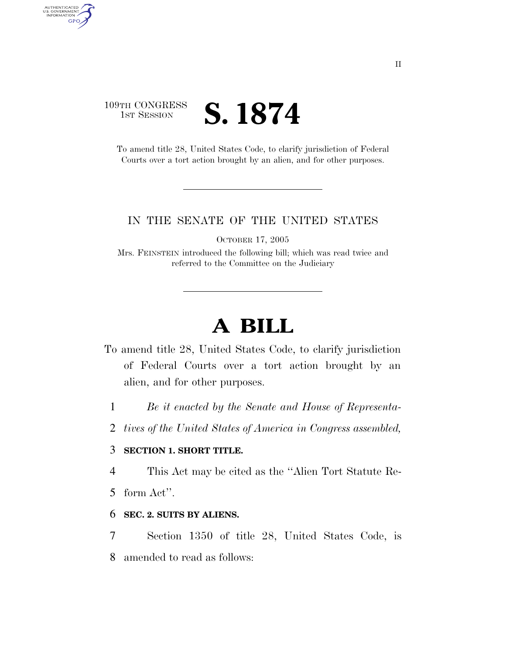## 109TH CONGRESS **1ST SESSION S. 1874**

AUTHENTICATED<br>U.S. GOVERNMENT<br>INFORMATION

**GPO** 

To amend title 28, United States Code, to clarify jurisdiction of Federal Courts over a tort action brought by an alien, and for other purposes.

### IN THE SENATE OF THE UNITED STATES

OCTOBER 17, 2005

Mrs. FEINSTEIN introduced the following bill; which was read twice and referred to the Committee on the Judiciary

# **A BILL**

- To amend title 28, United States Code, to clarify jurisdiction of Federal Courts over a tort action brought by an alien, and for other purposes.
	- 1 *Be it enacted by the Senate and House of Representa-*
	- 2 *tives of the United States of America in Congress assembled,*

### 3 **SECTION 1. SHORT TITLE.**

4 This Act may be cited as the ''Alien Tort Statute Re-

5 form Act''.

#### 6 **SEC. 2. SUITS BY ALIENS.**

7 Section 1350 of title 28, United States Code, is 8 amended to read as follows: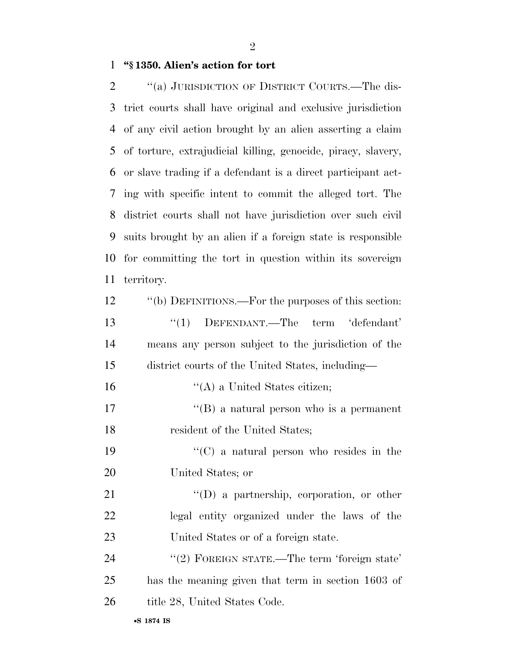**''§ 1350. Alien's action for tort** 

 ''(a) JURISDICTION OF DISTRICT COURTS.—The dis- trict courts shall have original and exclusive jurisdiction of any civil action brought by an alien asserting a claim of torture, extrajudicial killing, genocide, piracy, slavery, or slave trading if a defendant is a direct participant act- ing with specific intent to commit the alleged tort. The district courts shall not have jurisdiction over such civil suits brought by an alien if a foreign state is responsible for committing the tort in question within its sovereign territory.

| 12 | "(b) DEFINITIONS.—For the purposes of this section: |
|----|-----------------------------------------------------|
| 13 | $\lq(1)$ DEFENDANT.—The term 'defendant'            |
| 14 | means any person subject to the jurisdiction of the |
| 15 | district courts of the United States, including—    |
| 16 | $\lq\lq$ (A) a United States citizen;               |
| 17 | $\lq\lq (B)$ a natural person who is a permanent    |
| 18 | resident of the United States;                      |
| 19 | $\lq\lq$ (C) a natural person who resides in the    |
| 20 | United States; or                                   |
| 21 | $\lq\lq$ a partnership, corporation, or other       |
| 22 | legal entity organized under the laws of the        |
| 23 | United States or of a foreign state.                |
| 24 | "(2) FOREIGN STATE.—The term 'foreign state'        |
| 25 | has the meaning given that term in section 1603 of  |
| 26 | title 28, United States Code.                       |
|    |                                                     |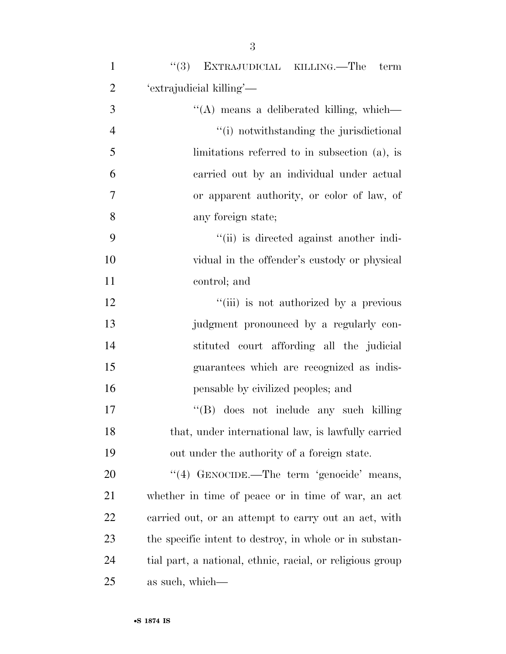| $\mathbf{1}$   | "(3) EXTRAJUDICIAL KILLING.—The term                      |
|----------------|-----------------------------------------------------------|
| $\overline{2}$ | 'extrajudicial killing'—                                  |
| 3              | "(A) means a deliberated killing, which—                  |
| $\overline{4}$ | "(i) notwithstanding the jurisdictional                   |
| 5              | limitations referred to in subsection $(a)$ , is          |
| 6              | carried out by an individual under actual                 |
| $\overline{7}$ | or apparent authority, or color of law, of                |
| 8              | any foreign state;                                        |
| 9              | "(ii) is directed against another indi-                   |
| 10             | vidual in the offender's custody or physical              |
| 11             | control; and                                              |
| 12             | "(iii) is not authorized by a previous                    |
| 13             | judgment pronounced by a regularly con-                   |
| 14             | stituted court affording all the judicial                 |
| 15             | guarantees which are recognized as indis-                 |
| 16             | pensable by civilized peoples; and                        |
| 17             | "(B) does not include any such killing                    |
| 18             | that, under international law, is lawfully carried        |
| 19             | out under the authority of a foreign state.               |
| <b>20</b>      | "(4) GENOCIDE.—The term 'genocide' means,                 |
| 21             | whether in time of peace or in time of war, an act        |
| 22             | carried out, or an attempt to carry out an act, with      |
| 23             | the specific intent to destroy, in whole or in substan-   |
| 24             | tial part, a national, ethnic, racial, or religious group |
| 25             | as such, which—                                           |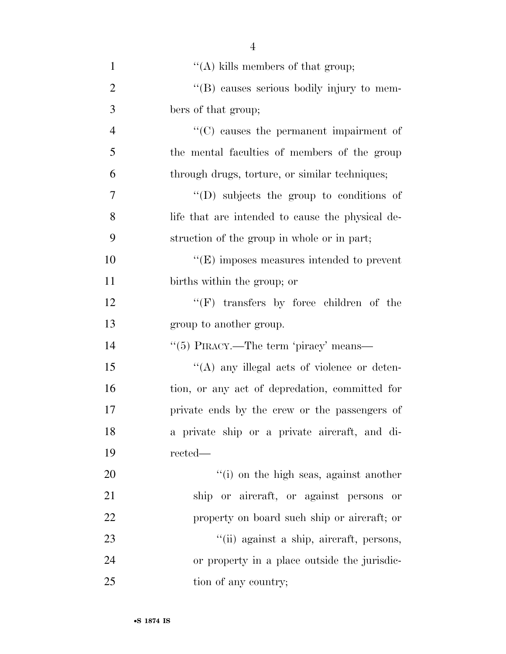| $\mathbf{1}$   | "(A) kills members of that group;                |
|----------------|--------------------------------------------------|
| $\overline{2}$ | "(B) causes serious bodily injury to mem-        |
| 3              | bers of that group;                              |
| $\overline{4}$ | "(C) causes the permanent impairment of          |
| 5              | the mental faculties of members of the group     |
| 6              | through drugs, torture, or similar techniques;   |
| 7              | $\lq\lq$ (D) subjects the group to conditions of |
| 8              | life that are intended to cause the physical de- |
| 9              | struction of the group in whole or in part;      |
| 10             | $\lq\lq(E)$ imposes measures intended to prevent |
| 11             | births within the group; or                      |
| 12             | $\lq\lq(F)$ transfers by force children of the   |
| 13             | group to another group.                          |
| 14             | "(5) PIRACY.—The term 'piracy' means—            |
| 15             | "(A) any illegal acts of violence or deten-      |
| 16             | tion, or any act of depredation, committed for   |
| 17             | private ends by the crew or the passengers of    |
| 18             | a private ship or a private aircraft, and di-    |
| 19             | rected—                                          |
| 20             | "(i) on the high seas, against another           |
| 21             | ship or aircraft, or against persons<br>or       |
| 22             | property on board such ship or aircraft; or      |
| 23             | "(ii) against a ship, aircraft, persons,         |
| 24             | or property in a place outside the jurisdic-     |
| 25             | tion of any country;                             |

4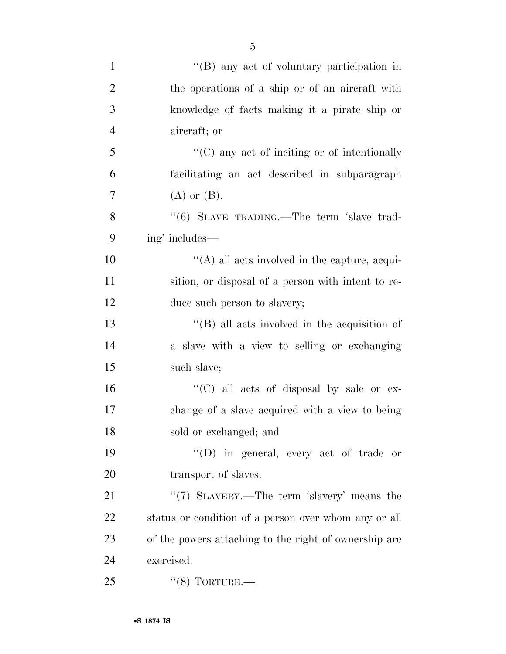| 1 | "(B) any act of voluntary participation in      |
|---|-------------------------------------------------|
| 2 | the operations of a ship or of an aircraft with |
| 3 | knowledge of facts making it a pirate ship or   |
| 4 | aircraft; or                                    |

 ''(C) any act of inciting or of intentionally facilitating an act described in subparagraph  $7 \qquad \qquad$  (A) or (B).

8 "(6) SLAVE TRADING.—The term 'slave trad-ing' includes—

10  $\langle (A)$  all acts involved in the capture, acqui- sition, or disposal of a person with intent to re-12 duce such person to slavery;

 ''(B) all acts involved in the acquisition of a slave with a view to selling or exchanging such slave;

 ''(C) all acts of disposal by sale or ex- change of a slave acquired with a view to being sold or exchanged; and

 ''(D) in general, every act of trade or 20 transport of slaves.

21 ''(7) SLAVERY.—The term 'slavery' means the status or condition of a person over whom any or all of the powers attaching to the right of ownership are exercised.

25 "(8) TORTURE.—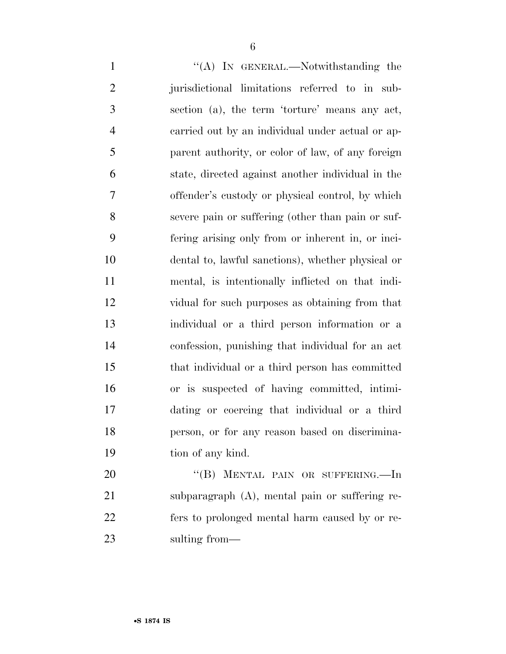1 ''(A) In GENERAL.—Notwithstanding the jurisdictional limitations referred to in sub- section (a), the term 'torture' means any act, carried out by an individual under actual or ap- parent authority, or color of law, of any foreign state, directed against another individual in the offender's custody or physical control, by which severe pain or suffering (other than pain or suf- fering arising only from or inherent in, or inci- dental to, lawful sanctions), whether physical or mental, is intentionally inflicted on that indi- vidual for such purposes as obtaining from that individual or a third person information or a confession, punishing that individual for an act that individual or a third person has committed or is suspected of having committed, intimi- dating or coercing that individual or a third person, or for any reason based on discrimina- tion of any kind. 20 "(B) MENTAL PAIN OR SUFFERING.—In subparagraph (A), mental pain or suffering re-fers to prolonged mental harm caused by or re-

sulting from—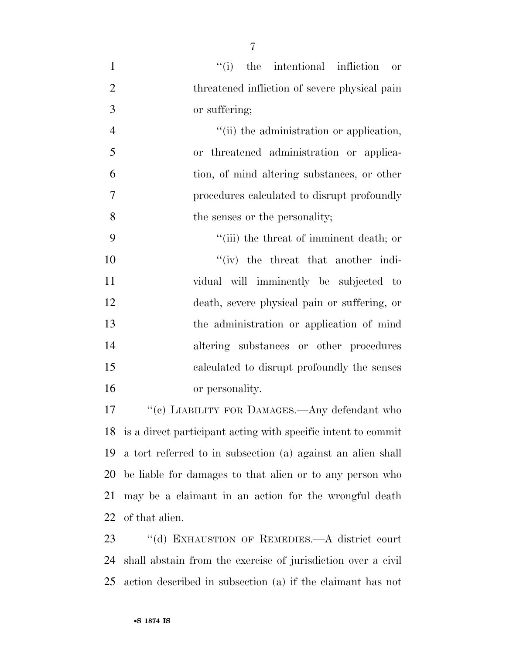| $\mathbf{1}$   | ``(i)<br>the intentional infliction<br>or                        |
|----------------|------------------------------------------------------------------|
| $\overline{2}$ | threatened infliction of severe physical pain                    |
| 3              | or suffering;                                                    |
| $\overline{4}$ | "(ii) the administration or application,                         |
| 5              | or threatened administration or applica-                         |
| 6              | tion, of mind altering substances, or other                      |
| $\tau$         | procedures calculated to disrupt profoundly                      |
| 8              | the senses or the personality;                                   |
| 9              | "(iii) the threat of imminent death; or                          |
| 10             | $f'(iv)$ the threat that another indi-                           |
| 11             | vidual will imminently be subjected to                           |
| 12             | death, severe physical pain or suffering, or                     |
| 13             | the administration or application of mind                        |
| 14             | altering substances or other procedures                          |
| 15             | calculated to disrupt profoundly the senses                      |
| 16             | or personality.                                                  |
| 17             | "(c) LIABILITY FOR DAMAGES.—Any defendant who                    |
|                | 18 is a direct participant acting with specific intent to commit |

 is a direct participant acting with specific intent to commit a tort referred to in subsection (a) against an alien shall be liable for damages to that alien or to any person who may be a claimant in an action for the wrongful death of that alien.

 ''(d) EXHAUSTION OF REMEDIES.—A district court shall abstain from the exercise of jurisdiction over a civil action described in subsection (a) if the claimant has not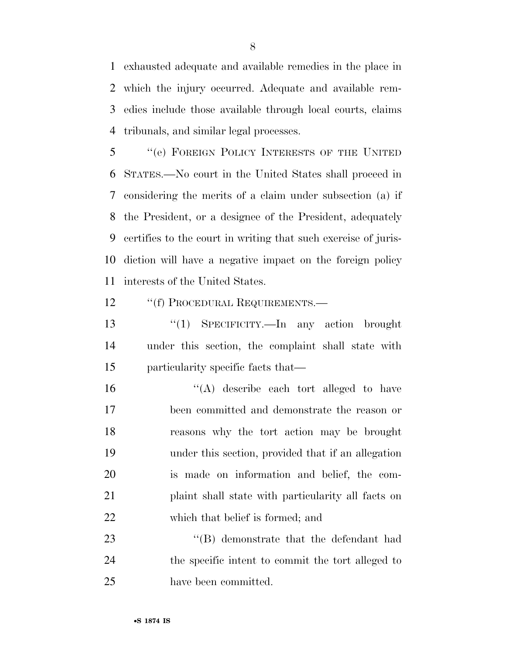exhausted adequate and available remedies in the place in which the injury occurred. Adequate and available rem- edies include those available through local courts, claims tribunals, and similar legal processes.

 ''(e) FOREIGN POLICY INTERESTS OF THE UNITED STATES.—No court in the United States shall proceed in considering the merits of a claim under subsection (a) if the President, or a designee of the President, adequately certifies to the court in writing that such exercise of juris- diction will have a negative impact on the foreign policy interests of the United States.

12 "(f) PROCEDURAL REQUIREMENTS.—

 ''(1) SPECIFICITY.—In any action brought under this section, the complaint shall state with particularity specific facts that—

 ''(A) describe each tort alleged to have been committed and demonstrate the reason or reasons why the tort action may be brought under this section, provided that if an allegation is made on information and belief, the com- plaint shall state with particularity all facts on which that belief is formed; and

23 ''(B) demonstrate that the defendant had the specific intent to commit the tort alleged to have been committed.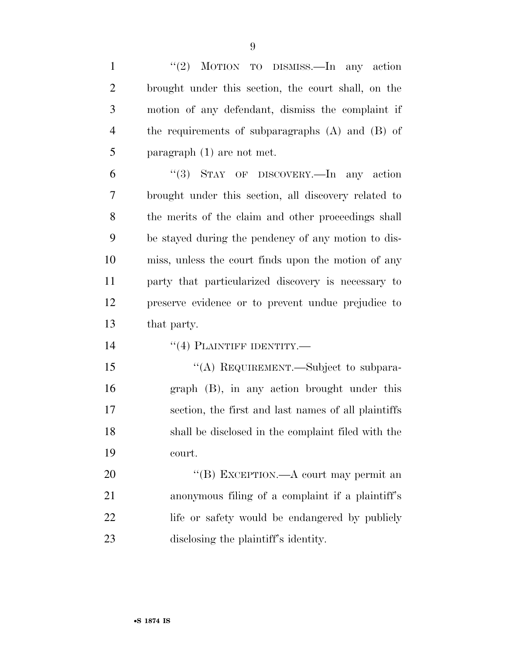| $\mathbf{1}$   | "(2) MOTION TO DISMISS.—In any action                |
|----------------|------------------------------------------------------|
| $\overline{2}$ | brought under this section, the court shall, on the  |
| 3              | motion of any defendant, dismiss the complaint if    |
| $\overline{4}$ | the requirements of subparagraphs $(A)$ and $(B)$ of |
| 5              | paragraph $(1)$ are not met.                         |
| 6              | "(3) STAY OF DISCOVERY.—In any action                |
| 7              | brought under this section, all discovery related to |
| 8              | the merits of the claim and other proceedings shall  |
| 9              | be stayed during the pendency of any motion to dis-  |
| 10             | miss, unless the court finds upon the motion of any  |
| 11             | party that particularized discovery is necessary to  |
| 12             | preserve evidence or to prevent undue prejudice to   |
| 13             | that party.                                          |
| 14             | $``(4)$ PLAINTIFF IDENTITY.—                         |
| 15             | "(A) REQUIREMENT.—Subject to subpara-                |
| 16             | graph (B), in any action brought under this          |
| 17             | section, the first and last names of all plaintiffs  |
| 18             | shall be disclosed in the complaint filed with the   |
| 19             | court.                                               |
| 20             | "(B) EXCEPTION.—A court may permit an                |
| 21             | anonymous filing of a complaint if a plaintiff's     |
| 22             | life or safety would be endangered by publicly       |
| 23             | disclosing the plaintiff's identity.                 |

•**S 1874 IS**